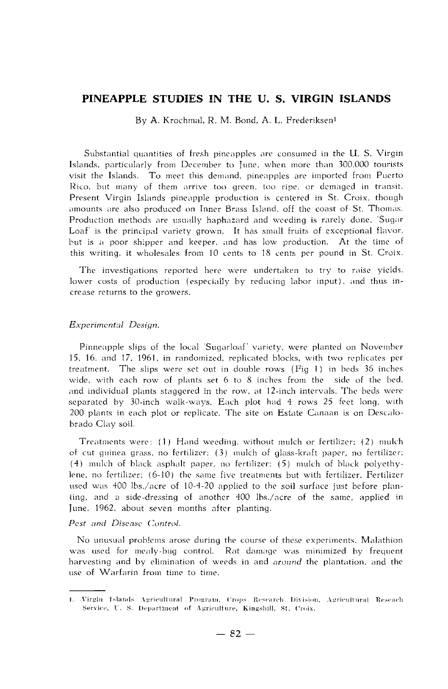# **PINEAPPLE STUDIES !N THE U. S. VIRGIN ISLANDS**

By A. Krochrnal, R. M. Bond, A. L. Frederiksenl

Substantial quantities of fresh pineapples are consumed in the U. S. Virgin Islands, particularly from December to June, when more than 300,000 tourists visit the Islands. To meet this demand, pineapples are imported from Puerto Rico, but many of them arrive too green, too ripe, or demaged in transit. Present Virgin Islands pineapple production is centered in St. Croix, though amounts are also produced on Inner Brass Island, off the coast of St. Thomas. Production methods are usually haphazard and weeding is rarely done. 'Sugar Loaf is the principal variety grown. It has small fruits of exceptional flavor. but is a poor shipper and keeper, and has low production. At the time of this writing, it wholesales from 10 cents to 18 cents per pound in St. Croix.

The investigations reported here were undertaken to try to raise yields. lower costs of production (especially by reducing labor input), and thus increase returns to the growers.

#### *Experimental Dcsign.*

Pinneapple slips of the local 'Sugarloaf' variety, were planted on November 15. 16. and 17. 1961, in randomized, replicated blocks, with two replicates per treatment. The slips were set out in double rows (Fig 1) in beds 36 inches wide, with each row of plants set 6 to 8 inches from the side of the bed, and individual plants staggered in the row, at 12-inch intervals. The beds were separated by 30-inch walk-ways. Each plot had 4 rows 25 fcct long. with 200 plants in each plot or replicate. The site on Estate Canaan is on Descalobrado Clay soil.

Treatments were: (1) Hand weeding, without mulch or fertilizer; (2) mulch cf cut guinea grass, no fertilizer;  $(3)$  mulch of glass-kraft paper, no fertilizer;  $(4)$  mulch of black asphalt paper, no fertilizer;  $(5)$  mulch of black polyethylene, no fertilizer; (6-10) the same five treatments but with fertilizer. Fertilizer used was 400 lbs./acre of 10-4-20 applied to the soil surface just before planting, and a side-dressing of another  $400$  lbs./acre of the same, applied in June. 1962, about seven months after planting.

## Pest and Disease Control.

No unusual problems arose during the course of these experiments. Malathion was used for mealy-bug control. Rat damage was minimized by frequent harvesting and by elimination of weeds in and *around* the plantation, and the **use of Warfarin from tiine to time.** 

<sup>1. -</sup>Virgin 1:slands Agricultural Program, Crops Research Division, Agricultural Reseach Service, U. S. Department of Agriculture, Kingshill, St. Croix.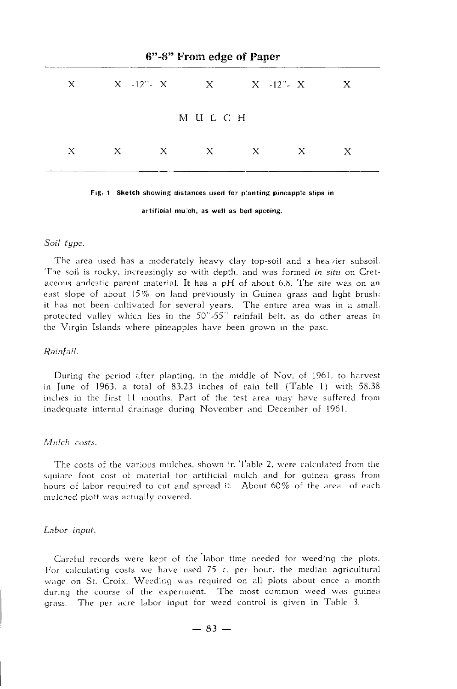|       | 6"-8" From edge of Paper |  |                           |  |       |              |  |  |  |  |
|-------|--------------------------|--|---------------------------|--|-------|--------------|--|--|--|--|
|       |                          |  | X X -12" - X X X -12" - X |  |       | $\mathbf{X}$ |  |  |  |  |
|       |                          |  | мuгсн                     |  |       |              |  |  |  |  |
| $X =$ |                          |  | $X$ x x x                 |  | $X -$ | X            |  |  |  |  |

#### **fig. 1** Sketch showing distances used for planting pineapple slips in

**artíficial mu:ch, as well as bed specing.** 

## *Soil type.*

The area used has a moderately heavy clay top-soil and a heavier subsoil. The soil is rocky, increasingly so with depth, and was formed *in situ* on Cretaceous andestic parent material. It has a  $pH$  of about 6.8. The site was on an east slope of about 15% on land previously in Guinea grass and light brush; it has not been cultivated for several years. The entire area was in a small, protected valley which lies in the 50"-55" rainfall belt, as do other areas in the Virgin Islands where pineapples have been grown in the past.

#### *Rain[a/1.*

During the period after planting, in the middle of Nov. of 1961, to harvest in June of 1963, a total of 83.23 inches of rain fell (Table 1) with 58.38 inches in the first 11 months. Part of the test area may have suffered from inadequate internal drainage during November and December of 1961.

## *Mulch costs.*

The costs of the various mulches, shown in Table 2, were calculated from the **squiare foot cost of materizd for artificial mulch and for guinea grass from**  hours of labor required to cut and spread it. About 60% of the area of each mulched plott was actually covered.

#### *Labor input.*

Careful records were kept of the labor time needed for weeding the plots. For calculating costs we have used  $75$  c. per hour, the median agricultural wage on St. Croix. Weeding was required on all plots about once a month dur:ng the course of the experiment. The most common weed was guinea grass. The per acre labor input for weed control is given in Table 3.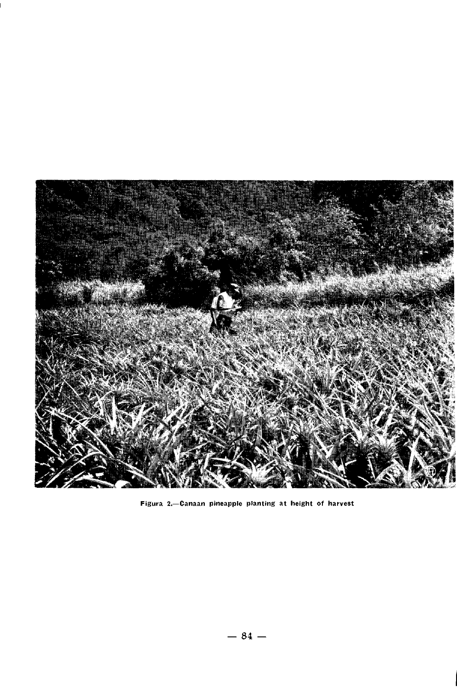

Figura 2.-Canaan pineapple planting at height of harvest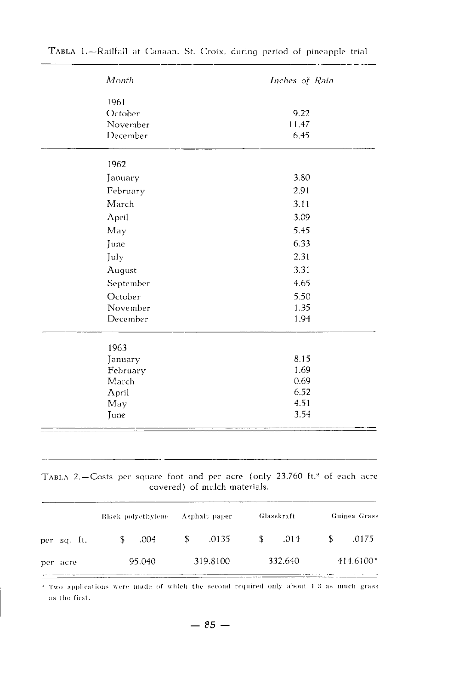| Month     | Inches of Rain |
|-----------|----------------|
| 1961      |                |
| October   | 9.22           |
| November  | 11.47          |
| December  | 6.45           |
| 1962      |                |
| January   | 3.80           |
| February  | 2.91           |
| March     | 3.11           |
| April     | 3.09           |
| May       | 5.45           |
| June      | 6.33           |
| July      | 2.31           |
| August    | 3.31           |
| September | 4.65           |
| October   | 5.50           |
| November  | 1.35           |
| December  | 1.94           |
| 1963      |                |
| January   | 8.15           |
| February  | 1.69           |
| March     | 0.69           |
| April     | 6.52           |
| May       | 4.51           |
| June      | 3.54           |

## TABLA 2.-Costs per square foot and per acre (only 23,760 ft.<sup>2</sup> of each acre covered) of mulch materials.

|             | Black polyethylene | Asphalt paper | Glasskraft  | Guinea Grass |  |
|-------------|--------------------|---------------|-------------|--------------|--|
| per sq. tt. | .004<br>S          | .0135<br>S    | \$.<br>.014 | .0175<br>ъ   |  |
| per acre    | 95.040             | 319.8100      | 332.640     | $414.6100*$  |  |

\* Two applications were made of which the second required only about 1.3 as much grass as the first.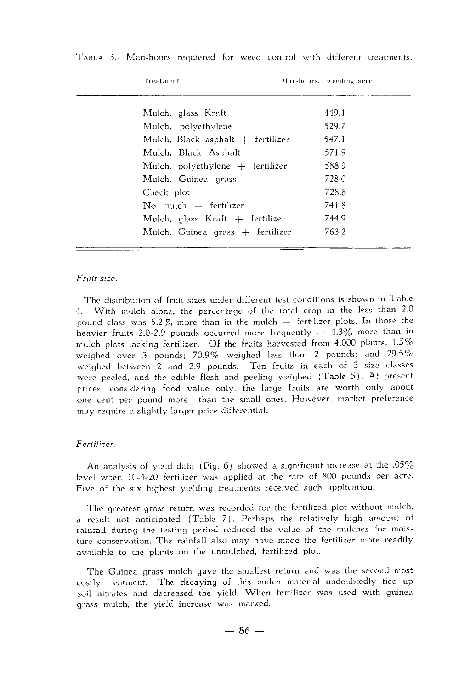| Treatment                           | Man-hours, weeding acre |
|-------------------------------------|-------------------------|
| Mulch, glass Kraft                  | 449.1                   |
| Mulch, polyethylene                 | 529.7                   |
| Mulch, Black asphalt $+$ fertilizer | 547.1                   |
| Mulch, Black Asphalt                | 571.9                   |
| Mulch, polyethylene $+$ fertilizer  | 588.9                   |
| Mulch, Guinea grass                 | 728.0                   |
| Check plot                          | 728.8                   |
| No mulch $+$ fertilizer             | 741.8                   |
| Mulch, glass Kraft $+$ fertilizer   | 744.9                   |
| Mulch, Guinea grass $+$ fertilizer  | 763.2                   |
|                                     |                         |

TABLA 3.-Man~hours requiered for weed control with different treatments.

## *Fruit size.*

The distribution of fruit sizes under different test conditions is shown in Table 4. With mulch alone, the percentage of the total crop in the less than 2.0 pound class was 5.2% more than in the mulch  $+$  fertilizer plots. In those the heavier fruits 2.0-2.9 pounds occurred more frequently  $-$  4.3% more than in mulch plots lacking fertilizer. Of the fruits harvested from  $4,000$  plants,  $1.5\%$ weighed over 3 pounds; 70.9% weighed less than 2 pounds; and 29.5% weighed between 2 and 2.9 pounds. Ten fruits in each of 3 size classes were peeled, and the edible flesh and peeling weighed (Table 5). At present prices, considering food value only, the large fruits are worth only about one cent per pound more than the small ones. However, market preference may require a slightly larger price differential.

## *Fcrtilizcr.*

An analysis of yield data (Fig. 6) showed a significant increase at the .05% leve! when 10-4~20 fertilizer was applied at the rate of 800 pounds per acre. Five of the six highest yielding treatments received such application.

The greatest gross return was recorded for the fertilized plot without mulch. a result not anticipated (Table 7). Perhaps the relatively high amount of rainfall during the testing period reduced the value of the mulches for moisture conservation. The rainfall also may have made the fertilizer more readily available to the plants on the unmulched, fertilized plot.

The Guinea grass mulch gave the smallest return and was the second most costly treatment. The decaying of this mulch material undoubtedly tied up soil nitrates and decreased the yield. When fertilizer was used with guinea grass mulch, the yield increase was marked.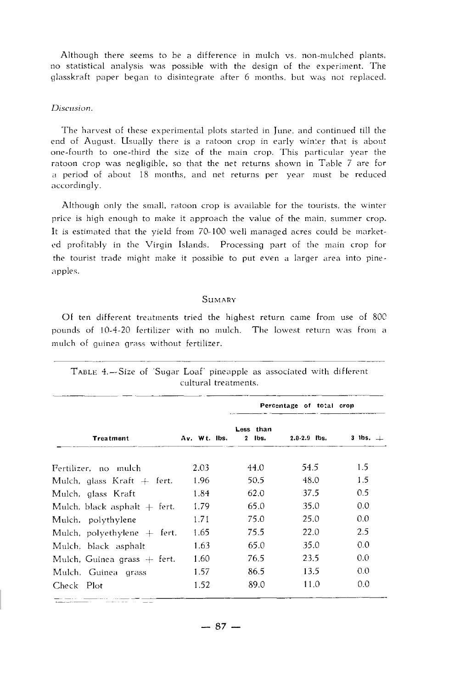Although there seems to be a difference in mulch vs. non-mulched plants, no statistical analysis was possible with the design of the experiment. The glasskraft paper began to disintegrate after 6 months. but was not replaced.

## *Discusion.*

The harvest of these experimental plots started in June, and continued till the end of August. Usually there is a ratoon crop in early winter that is about one-fourth to one-third the size of the main crop. This particular year the ratoon crop was negligible, so that the net returns shown in Table 7 are for a period of about !8 months, and net returns per year must be reduced accordingly.

Although only the small, ratoon crop is available for the tourists, the winter price is high enough to make it approach the value of the main, summer crop. It is estimated that the yield from 70-100 well managed acres could be marketed profitably in the Virgin Islands. Processing part of the main crop for the tourist trade might make it possible to put even a larger area into pineapples.

## **SUMARY**

Of ten different treatments tried the highest return came from use of 800 pounds of 10-4-20 fertilizer with no mulch. The lowest return was from a mulch of guinea grass without fertilizer.

|                                |              |                       |                  | Percentage of total crop |  |  |
|--------------------------------|--------------|-----------------------|------------------|--------------------------|--|--|
| <b>Treatment</b>               | Av. Wt. Ibs. | Less than<br>$2$ lbs. | $2.0 - 2.9$ lbs. | 3 lbs. $+$               |  |  |
| Fertilizer, no mulch           | 2.03         | 44.0                  | 54.5             | 1.5                      |  |  |
| Mulch, glass Kraft $+$ fert.   | 1.96         | 50.5                  | 48.0             | 1.5                      |  |  |
| Mulch, glass Kraft             | 1.84         | 62.0                  | 37.5             | $0.5^{\circ}$            |  |  |
| Mulch, black asphalt $+$ fert. | 1.79         | 65.0                  | 35.0             | 0.0                      |  |  |
| Mulch, polythylene             | 1.71         | 75.0                  | 25.0             | 0.0                      |  |  |
| Mulch, polyethylene $+$ fert.  | 1.65         | 75.5                  | 22.0             | 2.5                      |  |  |
| Mulch, black asphalt           | 1.63         | 65.0                  | 35.0             | 0.0                      |  |  |
| Mulch, Guinea grass $+$ fert.  | 1.60         | 76.5                  | 23.5             | 0.0                      |  |  |
| Mulch, Guinea grass            | 1.57         | 86.5                  | 13.5             | 0.0                      |  |  |
| Check Plot                     | 1.52         | 89.0                  | 11.0             | 0.0                      |  |  |

TABLE 4.-Size of 'Sugar Loaf' pineapple as associated with different cultural treatments.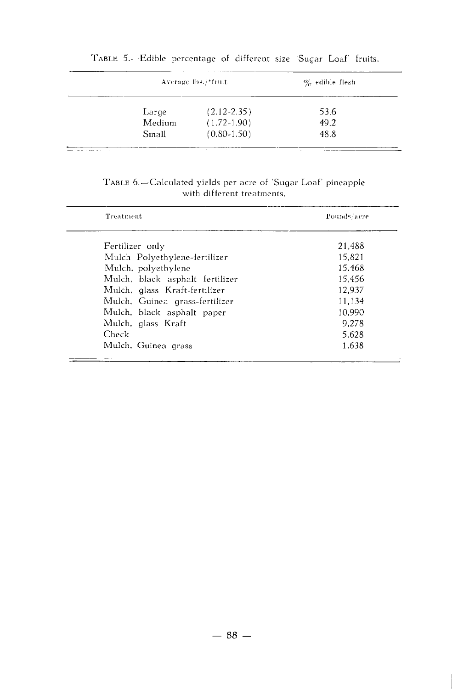|        | Average lbs./*fruit | $\%$ edible flesh |  |  |
|--------|---------------------|-------------------|--|--|
| Large  | $(2.12 - 2.35)$     | 53.6              |  |  |
| Medium | $(1.72 - 1.90)$     | 49.2              |  |  |
| Small  | $(0.80 - 1.50)$     | 48.8              |  |  |

# TABLE 5.~Edible percentage of different size 'Sugar Loaf' fruits.

# TABLE 6.-Calculated yields per acre of 'Sugar Loaf' pineapple with different treatments.

| Treatment                       | Pounds/acre |
|---------------------------------|-------------|
| Fertilizer only                 | 21.488      |
| Mulch Polyethylene-fertilizer   | 15.821      |
| Mulch, polyethylene             | 15.468      |
| Mulch, black asphalt fertilizer | 15.456      |
| Mulch, glass Kraft-fertilizer   | 12.937      |
| Mulch, Guinea grass-fertilizer  | 11.134      |
| Mulch, black asphalt paper      | 10.990      |
| Mulch, glass Kraft              | 9.278       |
| Check                           | 5.628       |
| Mulch, Guinea grass             | 1.638       |